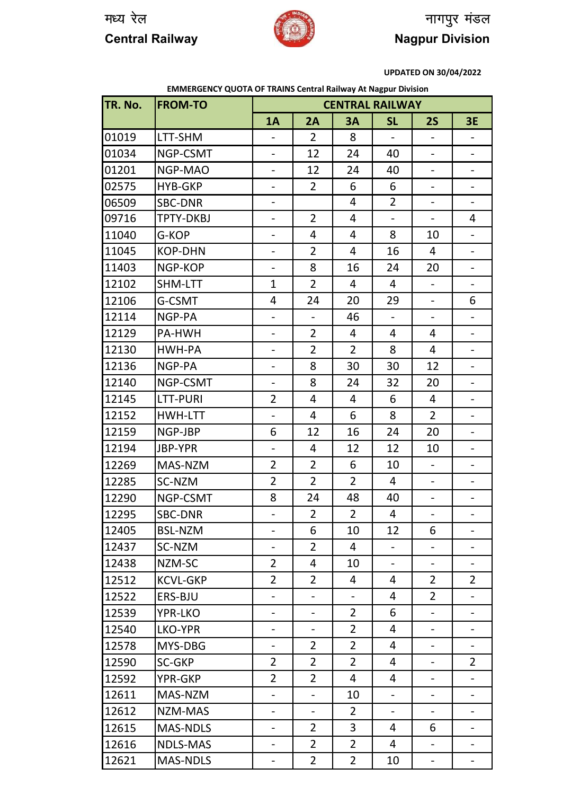

## मध्य रेल $\begin{picture}(180,10) \put(0,0){\line(1,0){10}} \put(10,0){\line(1,0){10}} \put(10,0){\line(1,0){10}} \put(10,0){\line(1,0){10}} \put(10,0){\line(1,0){10}} \put(10,0){\line(1,0){10}} \put(10,0){\line(1,0){10}} \put(10,0){\line(1,0){10}} \put(10,0){\line(1,0){10}} \put(10,0){\line(1,0){10}} \put(10,0){\line(1,0){10}} \put$ **Central Railway Nagpur Division**

**UPDATED ON 30/04/2022**

|         | <b>EMMERGENCY QUOTA OF TRAINS Central Railway At Nagpur Division</b> |                          |                          |                          |                |                              |                              |  |  |
|---------|----------------------------------------------------------------------|--------------------------|--------------------------|--------------------------|----------------|------------------------------|------------------------------|--|--|
| TR. No. | <b>FROM-TO</b>                                                       | <b>CENTRAL RAILWAY</b>   |                          |                          |                |                              |                              |  |  |
|         |                                                                      | 1A                       | 2A                       | 3A                       | <b>SL</b>      | 2S                           | <b>3E</b>                    |  |  |
| 01019   | LTT-SHM                                                              |                          | $\overline{2}$           | 8                        |                | $\qquad \qquad \blacksquare$ |                              |  |  |
| 01034   | NGP-CSMT                                                             | $\overline{\phantom{0}}$ | 12                       | 24                       | 40             | $\qquad \qquad \blacksquare$ | $\overline{\phantom{a}}$     |  |  |
| 01201   | NGP-MAO                                                              | -                        | 12                       | 24                       | 40             | $\overline{\phantom{a}}$     | $\overline{\phantom{a}}$     |  |  |
| 02575   | <b>HYB-GKP</b>                                                       | $\overline{\phantom{0}}$ | $\overline{2}$           | 6                        | 6              |                              | $\overline{\phantom{0}}$     |  |  |
| 06509   | <b>SBC-DNR</b>                                                       | $\overline{\phantom{0}}$ |                          | 4                        | $\overline{2}$ | $\overline{\phantom{0}}$     | $\overline{\phantom{a}}$     |  |  |
| 09716   | <b>TPTY-DKBJ</b>                                                     | $\overline{\phantom{0}}$ | $\overline{2}$           | 4                        | $\Box$         | $\overline{\phantom{0}}$     | 4                            |  |  |
| 11040   | G-KOP                                                                | $\overline{\phantom{0}}$ | 4                        | 4                        | 8              | 10                           | $\blacksquare$               |  |  |
| 11045   | <b>KOP-DHN</b>                                                       | $\overline{\phantom{0}}$ | $\overline{2}$           | 4                        | 16             | 4                            | $\overline{\phantom{a}}$     |  |  |
| 11403   | NGP-KOP                                                              | -                        | 8                        | 16                       | 24             | 20                           | $\overline{\phantom{a}}$     |  |  |
| 12102   | SHM-LTT                                                              | $\mathbf{1}$             | $\overline{2}$           | $\overline{4}$           | 4              | $-$                          | $\overline{\phantom{a}}$     |  |  |
| 12106   | G-CSMT                                                               | 4                        | 24                       | 20                       | 29             | $\qquad \qquad \blacksquare$ | 6                            |  |  |
| 12114   | NGP-PA                                                               |                          |                          | 46                       |                |                              |                              |  |  |
| 12129   | PA-HWH                                                               | $\overline{\phantom{0}}$ | $\overline{2}$           | 4                        | 4              | 4                            | $\overline{\phantom{0}}$     |  |  |
| 12130   | HWH-PA                                                               | -                        | $\overline{2}$           | $\overline{2}$           | 8              | 4                            | $\overline{\phantom{0}}$     |  |  |
| 12136   | NGP-PA                                                               | $\blacksquare$           | 8                        | 30                       | 30             | 12                           | $\overline{\phantom{a}}$     |  |  |
| 12140   | NGP-CSMT                                                             | $\blacksquare$           | 8                        | 24                       | 32             | 20                           | $\overline{\phantom{a}}$     |  |  |
| 12145   | LTT-PURI                                                             | $\overline{2}$           | 4                        | 4                        | 6              | 4                            | $\qquad \qquad \blacksquare$ |  |  |
| 12152   | HWH-LTT                                                              | $\blacksquare$           | 4                        | 6                        | 8              | $\overline{2}$               | $\overline{\phantom{a}}$     |  |  |
| 12159   | NGP-JBP                                                              | 6                        | 12                       | 16                       | 24             | 20                           | $\overline{\phantom{a}}$     |  |  |
| 12194   | JBP-YPR                                                              | $\overline{\phantom{a}}$ | 4                        | 12                       | 12             | 10                           | $\overline{\phantom{a}}$     |  |  |
| 12269   | MAS-NZM                                                              | $\overline{2}$           | $\overline{2}$           | 6                        | 10             | $\overline{\phantom{a}}$     | $\overline{\phantom{a}}$     |  |  |
| 12285   | SC-NZM                                                               | $\overline{2}$           | $\overline{2}$           | $\overline{2}$           | 4              |                              |                              |  |  |
| 12290   | NGP-CSMT                                                             | 8                        | 24                       | 48                       | 40             | $\overline{\phantom{0}}$     | -                            |  |  |
| 12295   | <b>SBC-DNR</b>                                                       |                          | $\overline{2}$           | $\overline{2}$           | 4              |                              |                              |  |  |
| 12405   | <b>BSL-NZM</b>                                                       |                          | 6                        | 10                       | 12             | 6                            |                              |  |  |
| 12437   | SC-NZM                                                               | $\overline{\phantom{0}}$ | $\overline{2}$           | 4                        | $\frac{1}{2}$  | $\overline{\phantom{0}}$     | $\overline{\phantom{a}}$     |  |  |
| 12438   | NZM-SC                                                               | $\overline{2}$           | 4                        | 10                       | $\blacksquare$ | $\frac{1}{2}$                |                              |  |  |
| 12512   | <b>KCVL-GKP</b>                                                      | $\overline{2}$           | $\overline{2}$           | 4                        | 4              | $\overline{2}$               | $\overline{2}$               |  |  |
| 12522   | ERS-BJU                                                              | $\overline{\phantom{0}}$ | $\blacksquare$           | $\overline{\phantom{a}}$ | 4              | $\overline{2}$               | $\qquad \qquad \blacksquare$ |  |  |
| 12539   | <b>YPR-LKO</b>                                                       | -                        | $\overline{\phantom{a}}$ | $\overline{2}$           | 6              | $\qquad \qquad -$            | $\overline{\phantom{a}}$     |  |  |
| 12540   | LKO-YPR                                                              | $\qquad \qquad -$        |                          | $\overline{2}$           | 4              | $\qquad \qquad \blacksquare$ | $\overline{\phantom{a}}$     |  |  |
| 12578   | MYS-DBG                                                              |                          | $\overline{2}$           | $\overline{2}$           | 4              |                              |                              |  |  |
| 12590   | SC-GKP                                                               | $\overline{2}$           | $\overline{2}$           | $\overline{2}$           | 4              | $\overline{\phantom{0}}$     | $\overline{2}$               |  |  |
| 12592   | YPR-GKP                                                              | $\overline{2}$           | $\overline{2}$           | 4                        | 4              |                              |                              |  |  |
| 12611   | MAS-NZM                                                              | $\overline{\phantom{0}}$ | $\Box$                   | 10                       | $\overline{a}$ | $\frac{1}{2}$                |                              |  |  |
| 12612   | NZM-MAS                                                              | $\overline{\phantom{0}}$ | $\overline{\phantom{a}}$ | $\overline{2}$           | $\Box$         | $\blacksquare$               |                              |  |  |
| 12615   | <b>MAS-NDLS</b>                                                      | $\overline{\phantom{0}}$ | $\overline{2}$           | 3                        | 4              | 6                            | $\qquad \qquad \blacksquare$ |  |  |
| 12616   | <b>NDLS-MAS</b>                                                      | $\overline{\phantom{0}}$ | $\overline{2}$           | $\overline{2}$           | 4              | $\Box$                       | $\overline{\phantom{a}}$     |  |  |
| 12621   | <b>MAS-NDLS</b>                                                      | $\overline{\phantom{a}}$ | $\overline{2}$           | $\overline{2}$           | 10             | $\qquad \qquad \blacksquare$ | $\blacksquare$               |  |  |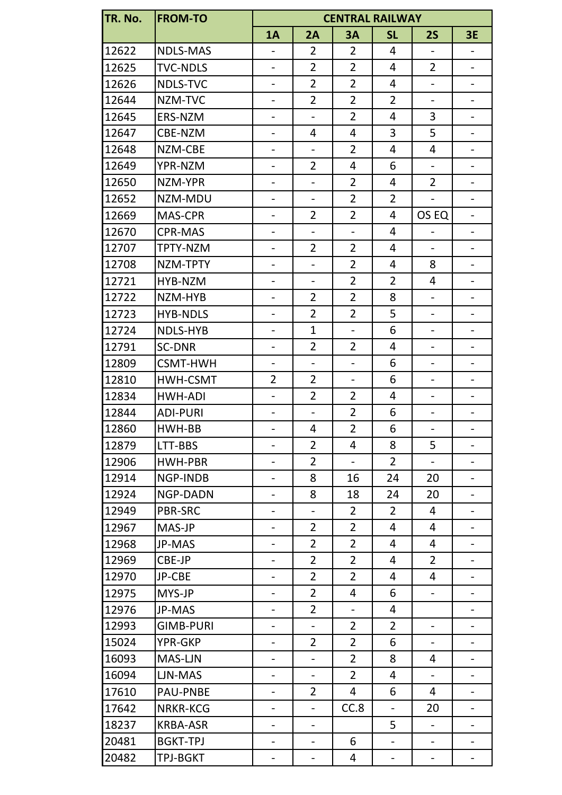| TR. No.<br><b>FROM-TO</b><br><b>CENTRAL RAILWAY</b> |                  |                          |                              |                          |                          |                          |                              |  |  |
|-----------------------------------------------------|------------------|--------------------------|------------------------------|--------------------------|--------------------------|--------------------------|------------------------------|--|--|
|                                                     |                  | 1A                       | 2A                           | <b>3A</b>                | <b>SL</b>                | <b>2S</b>                | <b>3E</b>                    |  |  |
| 12622                                               | <b>NDLS-MAS</b>  |                          | $\overline{2}$               | $\overline{2}$           | 4                        | $\overline{\phantom{0}}$ | $\overline{\phantom{a}}$     |  |  |
| 12625                                               | <b>TVC-NDLS</b>  | $\overline{\phantom{0}}$ | $\overline{2}$               | $\overline{2}$           | 4                        | $\overline{2}$           | $\overline{\phantom{a}}$     |  |  |
| 12626                                               | NDLS-TVC         | $\overline{\phantom{0}}$ | $\overline{2}$               | $\overline{2}$           | 4                        | $\overline{\phantom{0}}$ | $\overline{\phantom{a}}$     |  |  |
| 12644                                               | NZM-TVC          | $\overline{\phantom{0}}$ | $\overline{2}$               | $\overline{2}$           | $\overline{2}$           | $\blacksquare$           | $\overline{\phantom{a}}$     |  |  |
| 12645                                               | ERS-NZM          | $\blacksquare$           | $\overline{\phantom{a}}$     | $\overline{2}$           | 4                        | 3                        | $\overline{\phantom{a}}$     |  |  |
| 12647                                               | CBE-NZM          | $\overline{\phantom{0}}$ | 4                            | 4                        | 3                        | 5                        | $\qquad \qquad -$            |  |  |
| 12648                                               | NZM-CBE          | $\qquad \qquad -$        | $\overline{\phantom{a}}$     | $\overline{2}$           | 4                        | 4                        | $\overline{\phantom{a}}$     |  |  |
| 12649                                               | YPR-NZM          | $\overline{\phantom{a}}$ | $\overline{2}$               | 4                        | 6                        | $\qquad \qquad -$        | $\overline{\phantom{a}}$     |  |  |
| 12650                                               | NZM-YPR          | $\overline{\phantom{0}}$ | $\overline{\phantom{0}}$     | $\overline{2}$           | $\overline{4}$           | $\overline{2}$           | $\overline{\phantom{a}}$     |  |  |
| 12652                                               | NZM-MDU          | $\qquad \qquad -$        | $\overline{\phantom{a}}$     | $\overline{2}$           | $\overline{2}$           | $\overline{\phantom{0}}$ | $\overline{\phantom{a}}$     |  |  |
| 12669                                               | MAS-CPR          | -                        | $\overline{2}$               | $\overline{2}$           | 4                        | OS EQ                    | $\overline{\phantom{a}}$     |  |  |
| 12670                                               | <b>CPR-MAS</b>   | $\overline{\phantom{0}}$ | $\frac{1}{2}$                | $\frac{1}{2}$            | 4                        |                          | $\overline{\phantom{a}}$     |  |  |
| 12707                                               | TPTY-NZM         | $\overline{\phantom{0}}$ | $\overline{2}$               | $\overline{2}$           | 4                        | $\overline{\phantom{0}}$ | $\overline{\phantom{a}}$     |  |  |
| 12708                                               | NZM-TPTY         | $\qquad \qquad -$        | $\overline{a}$               | $\overline{2}$           | 4                        | 8                        | $\overline{\phantom{a}}$     |  |  |
| 12721                                               | HYB-NZM          | $\overline{\phantom{0}}$ | $\overline{\phantom{0}}$     | $\overline{2}$           | $\overline{2}$           | 4                        | $\blacksquare$               |  |  |
| 12722                                               | NZM-HYB          | $\overline{\phantom{0}}$ | $\overline{2}$               | $\overline{2}$           | 8                        | $\overline{\phantom{0}}$ | $\overline{\phantom{a}}$     |  |  |
| 12723                                               | <b>HYB-NDLS</b>  | $\blacksquare$           | $\overline{2}$               | $\overline{2}$           | 5                        | $\blacksquare$           | $\overline{\phantom{a}}$     |  |  |
| 12724                                               | NDLS-HYB         | $\overline{\phantom{a}}$ | $\mathbf{1}$                 | $\overline{\phantom{a}}$ | 6                        | $\overline{\phantom{a}}$ | $\overline{\phantom{a}}$     |  |  |
| 12791                                               | <b>SC-DNR</b>    | $\overline{\phantom{0}}$ | $\overline{2}$               | $\overline{2}$           | $\overline{4}$           | $\blacksquare$           | $\overline{\phantom{a}}$     |  |  |
| 12809                                               | <b>CSMT-HWH</b>  | $\overline{\phantom{a}}$ | $\overline{\phantom{a}}$     | $\overline{\phantom{a}}$ | 6                        | $\overline{\phantom{0}}$ | $\overline{\phantom{a}}$     |  |  |
| 12810                                               | HWH-CSMT         | $\overline{2}$           | $\overline{2}$               | $\overline{\phantom{a}}$ | 6                        | $\overline{\phantom{0}}$ | $\overline{\phantom{a}}$     |  |  |
| 12834                                               | HWH-ADI          | $\frac{1}{2}$            | $\overline{2}$               | $\overline{2}$           | $\overline{4}$           | $\blacksquare$           | $\blacksquare$               |  |  |
| 12844                                               | <b>ADI-PURI</b>  | $\qquad \qquad -$        | $\overline{\phantom{0}}$     | $\overline{2}$           | 6                        | $\overline{\phantom{0}}$ | $\overline{\phantom{a}}$     |  |  |
| 12860                                               | HWH-BB           | -                        | 4                            | $\overline{2}$           | 6                        | $\overline{\phantom{0}}$ | $\overline{\phantom{a}}$     |  |  |
| 12879                                               | LTT-BBS          | $\blacksquare$           | $\overline{2}$               | 4                        | 8                        | 5                        | $\overline{\phantom{a}}$     |  |  |
| 12906                                               | HWH-PBR          | $\overline{\phantom{0}}$ | $\overline{2}$               | $\overline{\phantom{a}}$ | $\overline{2}$           | $\overline{\phantom{0}}$ | $\overline{\phantom{a}}$     |  |  |
| 12914                                               | NGP-INDB         | $\overline{\phantom{0}}$ | 8                            | 16                       | 24                       | 20                       | $\overline{\phantom{a}}$     |  |  |
| 12924                                               | <b>NGP-DADN</b>  | -                        | 8                            | 18                       | 24                       | 20                       | $\overline{\phantom{a}}$     |  |  |
| 12949                                               | <b>PBR-SRC</b>   | $\qquad \qquad -$        | $\qquad \qquad \blacksquare$ | $\overline{2}$           | $\overline{2}$           | 4                        | $\hbox{--}$                  |  |  |
| 12967                                               | MAS-JP           | -                        | $\overline{2}$               | $\overline{2}$           | 4                        | 4                        | $\qquad \qquad \blacksquare$ |  |  |
| 12968                                               | JP-MAS           | -                        | $\overline{2}$               | $\overline{2}$           | 4                        | 4                        | $\overline{\phantom{a}}$     |  |  |
| 12969                                               | CBE-JP           | $\overline{\phantom{0}}$ | $\overline{2}$               | $\overline{2}$           | $\overline{4}$           | $\overline{2}$           | $\overline{\phantom{a}}$     |  |  |
| 12970                                               | JP-CBE           | -                        | $\overline{2}$               | $\overline{2}$           | 4                        | 4                        | $\overline{\phantom{a}}$     |  |  |
| 12975                                               | MYS-JP           | $\overline{\phantom{0}}$ | $\overline{2}$               | 4                        | 6                        | $\overline{\phantom{0}}$ | $\overline{\phantom{a}}$     |  |  |
| 12976                                               | JP-MAS           | $\overline{\phantom{0}}$ | $\overline{2}$               | $\blacksquare$           | $\overline{4}$           |                          | $\overline{\phantom{a}}$     |  |  |
| 12993                                               | <b>GIMB-PURI</b> | -                        | $\blacksquare$               | $\overline{2}$           | $\overline{2}$           | $\overline{\phantom{0}}$ | $\overline{\phantom{a}}$     |  |  |
| 15024                                               | YPR-GKP          | $\overline{\phantom{0}}$ | $\overline{2}$               | $\overline{2}$           | 6                        | $\qquad \qquad -$        | $\overline{\phantom{a}}$     |  |  |
| 16093                                               | MAS-LJN          | -                        | $\overline{\phantom{0}}$     | $\overline{2}$           | 8                        | 4                        | $\overline{\phantom{a}}$     |  |  |
| 16094                                               | LJN-MAS          | $\qquad \qquad -$        | $\qquad \qquad \blacksquare$ | $\overline{2}$           | 4                        | $\overline{\phantom{a}}$ | $\overline{\phantom{a}}$     |  |  |
| 17610                                               | PAU-PNBE         | -                        | $\overline{2}$               | 4                        | 6                        | 4                        | $\overline{\phantom{a}}$     |  |  |
| 17642                                               | <b>NRKR-KCG</b>  | -                        | $\overline{\phantom{0}}$     | CC.8                     | $\overline{\phantom{a}}$ | 20                       | $\overline{\phantom{a}}$     |  |  |
| 18237                                               | <b>KRBA-ASR</b>  |                          | $\overline{\phantom{a}}$     |                          | 5                        | $\blacksquare$           |                              |  |  |
| 20481                                               | <b>BGKT-TPJ</b>  | -                        | $\qquad \qquad -$            | 6                        | $\overline{\phantom{a}}$ | $\overline{\phantom{0}}$ | $\overline{\phantom{a}}$     |  |  |
| 20482                                               | <b>TPJ-BGKT</b>  |                          | -                            | 4                        | -                        | -                        | -                            |  |  |
|                                                     |                  |                          |                              |                          |                          |                          |                              |  |  |